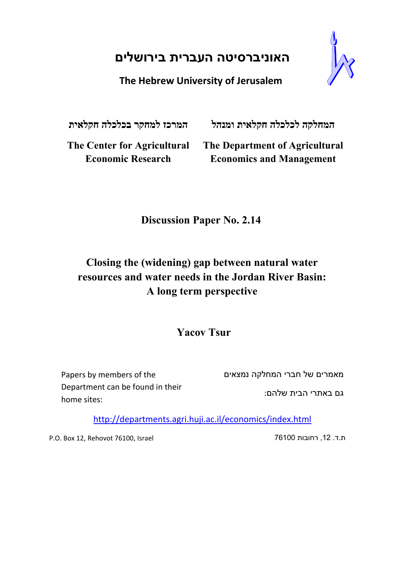# **האוניברסיטה העברית בירושלים**

# **The Hebrew University of Jerusalem**

**המחלקה לכלכלה חקלאית ומנהל המרכז למחקר בכלכלה חקלאית**

**The Center for Agricultural Economic Research**

**The Department of Agricultural Economics and Management**

# **Discussion Paper No. 2.14**

# **Closing the (widening) gap between natural water resources and water needs in the Jordan River Basin: A long term perspective**

# **Yacov Tsur**

Papers by members of the Department can be found in their home sites:

מאמרים של חברי המחלקה נמצאים

גם באתרי הבית שלהם:

http://departments.agri.huji.ac.il/economics/index.html

P.O. Box 12, Rehovot 76100, Israel 76100 רחובות ,12 .ד.ת

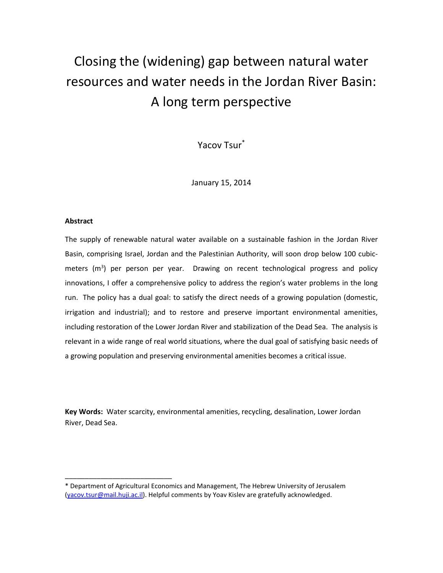# Closing the (widening) gap between natural water resources and water needs in the Jordan River Basin: A long term perspective

Yacov Tsur\*

January 15, 2014

#### **Abstract**

\_\_\_\_\_\_\_\_\_\_\_\_\_\_\_\_\_\_\_\_\_\_\_\_\_\_\_

The supply of renewable natural water available on a sustainable fashion in the Jordan River Basin, comprising Israel, Jordan and the Palestinian Authority, will soon drop below 100 cubicmeters (m<sup>3</sup>) per person per year. Drawing on recent technological progress and policy innovations, I offer a comprehensive policy to address the region's water problems in the long run. The policy has a dual goal: to satisfy the direct needs of a growing population (domestic, irrigation and industrial); and to restore and preserve important environmental amenities, including restoration of the Lower Jordan River and stabilization of the Dead Sea. The analysis is relevant in a wide range of real world situations, where the dual goal of satisfying basic needs of a growing population and preserving environmental amenities becomes a critical issue.

**Key Words:** Water scarcity, environmental amenities, recycling, desalination, Lower Jordan River, Dead Sea.

<sup>\*</sup> Department of Agricultural Economics and Management, The Hebrew University of Jerusalem [\(yacov.tsur@mail.huji.ac.il\)](mailto:yacov.tsur@mail.huji.ac.il). Helpful comments by Yoav Kislev are gratefully acknowledged.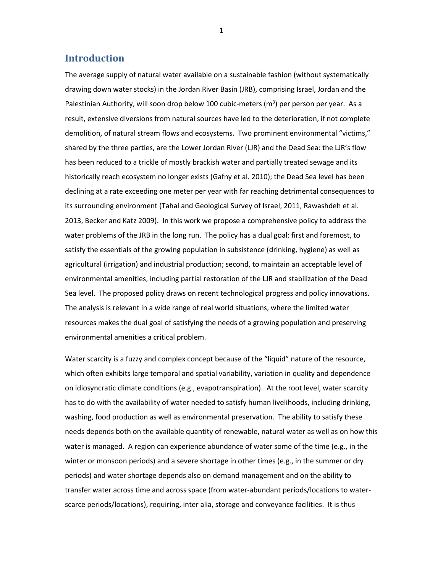# **Introduction**

The average supply of natural water available on a sustainable fashion (without systematically drawing down water stocks) in the Jordan River Basin (JRB), comprising Israel, Jordan and the Palestinian Authority, will soon drop below 100 cubic-meters ( $m<sup>3</sup>$ ) per person per year. As a result, extensive diversions from natural sources have led to the deterioration, if not complete demolition, of natural stream flows and ecosystems. Two prominent environmental "victims," shared by the three parties, are the Lower Jordan River (LJR) and the Dead Sea: the LJR's flow has been reduced to a trickle of mostly brackish water and partially treated sewage and its historically reach ecosystem no longer exists (Gafny et al. 2010); the Dead Sea level has been declining at a rate exceeding one meter per year with far reaching detrimental consequences to its surrounding environment (Tahal and Geological Survey of Israel, 2011, Rawashdeh et al. 2013, Becker and Katz 2009). In this work we propose a comprehensive policy to address the water problems of the JRB in the long run. The policy has a dual goal: first and foremost, to satisfy the essentials of the growing population in subsistence (drinking, hygiene) as well as agricultural (irrigation) and industrial production; second, to maintain an acceptable level of environmental amenities, including partial restoration of the LJR and stabilization of the Dead Sea level. The proposed policy draws on recent technological progress and policy innovations. The analysis is relevant in a wide range of real world situations, where the limited water resources makes the dual goal of satisfying the needs of a growing population and preserving environmental amenities a critical problem.

Water scarcity is a fuzzy and complex concept because of the "liquid" nature of the resource, which often exhibits large temporal and spatial variability, variation in quality and dependence on idiosyncratic climate conditions (e.g., evapotranspiration). At the root level, water scarcity has to do with the availability of water needed to satisfy human livelihoods, including drinking, washing, food production as well as environmental preservation. The ability to satisfy these needs depends both on the available quantity of renewable, natural water as well as on how this water is managed. A region can experience abundance of water some of the time (e.g., in the winter or monsoon periods) and a severe shortage in other times (e.g., in the summer or dry periods) and water shortage depends also on demand management and on the ability to transfer water across time and across space (from water-abundant periods/locations to waterscarce periods/locations), requiring, inter alia, storage and conveyance facilities. It is thus

1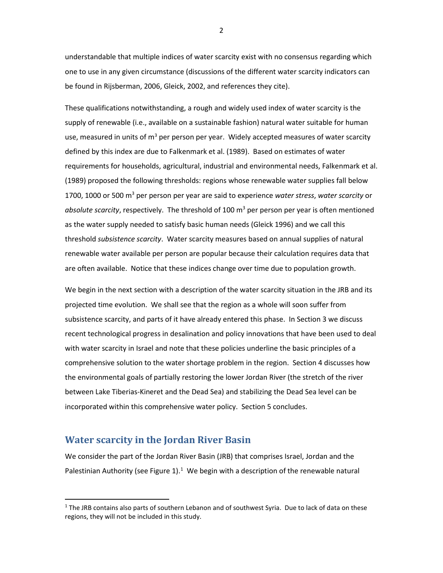understandable that multiple indices of water scarcity exist with no consensus regarding which one to use in any given circumstance (discussions of the different water scarcity indicators can be found in Rijsberman, 2006, Gleick, 2002, and references they cite).

These qualifications notwithstanding, a rough and widely used index of water scarcity is the supply of renewable (i.e., available on a sustainable fashion) natural water suitable for human use, measured in units of  $m<sup>3</sup>$  per person per year. Widely accepted measures of water scarcity defined by this index are due to Falkenmark et al. (1989). Based on estimates of water requirements for households, agricultural, industrial and environmental needs, Falkenmark et al. (1989) proposed the following thresholds: regions whose renewable water supplies fall below 1700, 1000 or 500 m3 per person per year are said to experience *water stress*, *water scarcity* or *absolute scarcity*, respectively. The threshold of 100 m3 per person per year is often mentioned as the water supply needed to satisfy basic human needs (Gleick 1996) and we call this threshold *subsistence scarcity*. Water scarcity measures based on annual supplies of natural renewable water available per person are popular because their calculation requires data that are often available. Notice that these indices change over time due to population growth.

We begin in the next section with a description of the water scarcity situation in the JRB and its projected time evolution. We shall see that the region as a whole will soon suffer from subsistence scarcity, and parts of it have already entered this phase. In Section 3 we discuss recent technological progress in desalination and policy innovations that have been used to deal with water scarcity in Israel and note that these policies underline the basic principles of a comprehensive solution to the water shortage problem in the region. Section 4 discusses how the environmental goals of partially restoring the lower Jordan River (the stretch of the river between Lake Tiberias-Kineret and the Dead Sea) and stabilizing the Dead Sea level can be incorporated within this comprehensive water policy. Section 5 concludes.

### **Water scarcity in the Jordan River Basin**

 $\overline{a}$ 

We consider the part of the Jordan River Basin (JRB) that comprises Israel, Jordan and the Palestinian Authority (see Figure  $1$ ).<sup>1</sup> We begin with a description of the renewable natural

2

<span id="page-3-0"></span> $1$  The JRB contains also parts of southern Lebanon and of southwest Syria. Due to lack of data on these regions, they will not be included in this study.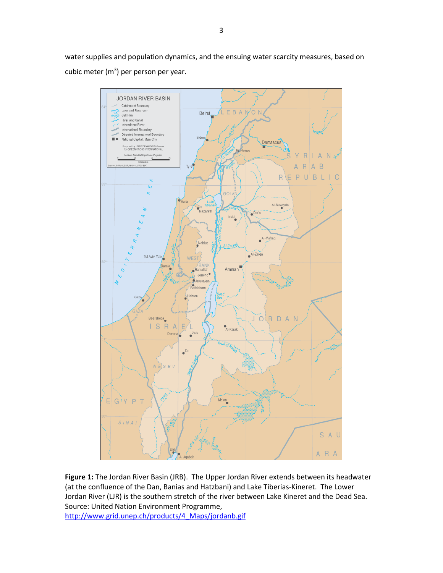water supplies and population dynamics, and the ensuing water scarcity measures, based on cubic meter ( $m<sup>3</sup>$ ) per person per year.



**Figure 1:** The Jordan River Basin (JRB). The Upper Jordan River extends between its headwater (at the confluence of the Dan, Banias and Hatzbani) and Lake Tiberias-Kineret. The Lower Jordan River (LJR) is the southern stretch of the river between Lake Kineret and the Dead Sea. Source: United Nation Environment Programme, [http://www.grid.unep.ch/products/4\\_Maps/jordanb.gif](http://www.grid.unep.ch/products/4_Maps/jordanb.gif)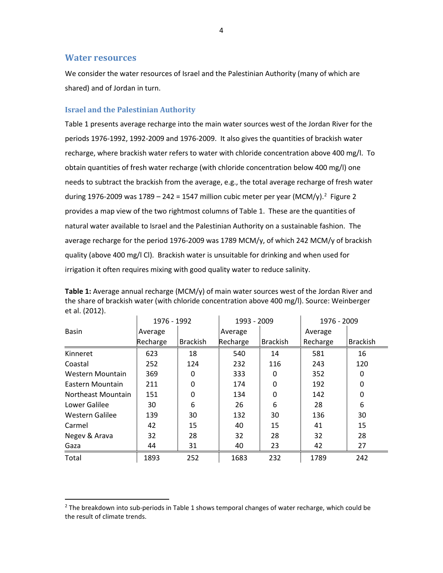#### **Water resources**

 $\overline{a}$ 

We consider the water resources of Israel and the Palestinian Authority (many of which are shared) and of Jordan in turn.

#### **Israel and the Palestinian Authority**

Table 1 presents average recharge into the main water sources west of the Jordan River for the periods 1976-1992, 1992-2009 and 1976-2009. It also gives the quantities of brackish water recharge, where brackish water refers to water with chloride concentration above 400 mg/l. To obtain quantities of fresh water recharge (with chloride concentration below 400 mg/l) one needs to subtract the brackish from the average, e.g., the total average recharge of fresh water during 1976-[2](#page-5-0)009 was 1789 – 242 = 1547 million cubic meter per year (MCM/y).<sup>2</sup> Figure 2 provides a map view of the two rightmost columns of Table 1. These are the quantities of natural water available to Israel and the Palestinian Authority on a sustainable fashion. The average recharge for the period 1976-2009 was 1789 MCM/y, of which 242 MCM/y of brackish quality (above 400 mg/l Cl). Brackish water is unsuitable for drinking and when used for irrigation it often requires mixing with good quality water to reduce salinity.

|                    | 1976 - 1992<br>1993 - 2009 |                 |          | 1976 - 2009     |          |                 |
|--------------------|----------------------------|-----------------|----------|-----------------|----------|-----------------|
| <b>Basin</b>       | Average                    |                 | Average  |                 | Average  |                 |
|                    | Recharge                   | <b>Brackish</b> | Recharge | <b>Brackish</b> | Recharge | <b>Brackish</b> |
| Kinneret           | 623                        | 18              | 540      | 14              | 581      | 16              |
| Coastal            | 252                        | 124             | 232      | 116             | 243      | 120             |
| Western Mountain   | 369                        | 0               | 333      | 0               | 352      | 0               |
| Eastern Mountain   | 211                        | $\Omega$        | 174      | $\mathbf{0}$    | 192      | 0               |
| Northeast Mountain | 151                        | 0               | 134      | $\mathbf{0}$    | 142      | 0               |
| Lower Galilee      | 30                         | 6               | 26       | 6               | 28       | 6               |
| Western Galilee    | 139                        | 30              | 132      | 30              | 136      | 30              |
| Carmel             | 42                         | 15              | 40       | 15              | 41       | 15              |
| Negev & Arava      | 32                         | 28              | 32       | 28              | 32       | 28              |
| Gaza               | 44                         | 31              | 40       | 23              | 42       | 27              |
| Total              | 1893                       | 252             | 1683     | 232             | 1789     | 242             |

**Table 1:** Average annual recharge (MCM/y) of main water sources west of the Jordan River and the share of brackish water (with chloride concentration above 400 mg/l). Source: Weinberger et al. (2012).

<span id="page-5-0"></span><sup>&</sup>lt;sup>2</sup> The breakdown into sub-periods in Table 1 shows temporal changes of water recharge, which could be the result of climate trends.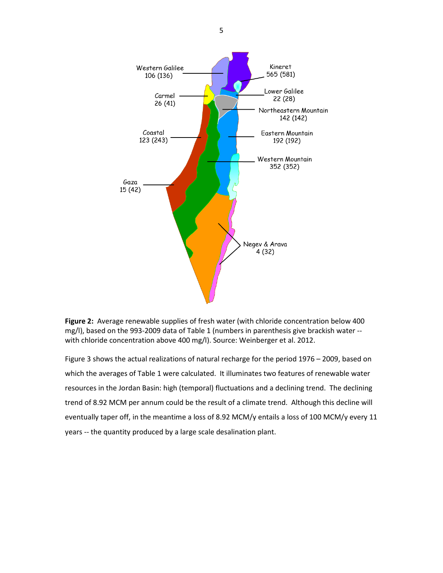

**Figure 2:** Average renewable supplies of fresh water (with chloride concentration below 400 mg/l), based on the 993-2009 data of Table 1 (numbers in parenthesis give brackish water - with chloride concentration above 400 mg/l). Source: Weinberger et al. 2012.

Figure 3 shows the actual realizations of natural recharge for the period 1976 – 2009, based on which the averages of Table 1 were calculated. It illuminates two features of renewable water resources in the Jordan Basin: high (temporal) fluctuations and a declining trend. The declining trend of 8.92 MCM per annum could be the result of a climate trend. Although this decline will eventually taper off, in the meantime a loss of 8.92 MCM/y entails a loss of 100 MCM/y every 11 years -- the quantity produced by a large scale desalination plant.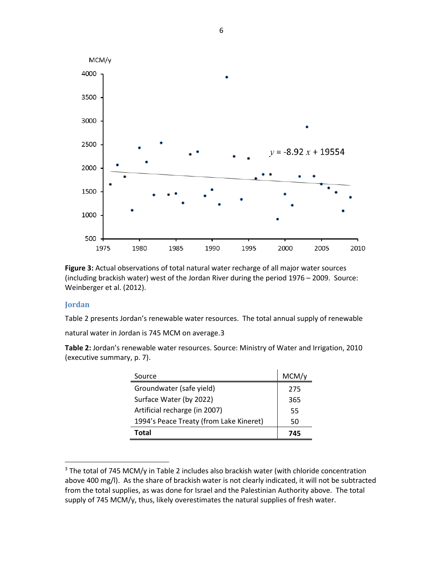

**Figure 3:** Actual observations of total natural water recharge of all major water sources (including brackish water) west of the Jordan River during the period 1976 – 2009. Source: Weinberger et al. (2012).

#### **Jordan**

l

Table 2 presents Jordan's renewable water resources. The total annual supply of renewable

natural water in Jordan is 745 MCM on average.[3](#page-7-0) 

**Table 2:** Jordan's renewable water resources. Source: Ministry of Water and Irrigation, 2010 (executive summary, p. 7).

| Source                                  | MCM/y |
|-----------------------------------------|-------|
| Groundwater (safe yield)                | 275   |
| Surface Water (by 2022)                 | 365   |
| Artificial recharge (in 2007)           | 55    |
| 1994's Peace Treaty (from Lake Kineret) | 50    |
| Total                                   | 745   |

<span id="page-7-0"></span> $3$  The total of 745 MCM/y in Table 2 includes also brackish water (with chloride concentration above 400 mg/l). As the share of brackish water is not clearly indicated, it will not be subtracted from the total supplies, as was done for Israel and the Palestinian Authority above. The total supply of 745 MCM/y, thus, likely overestimates the natural supplies of fresh water.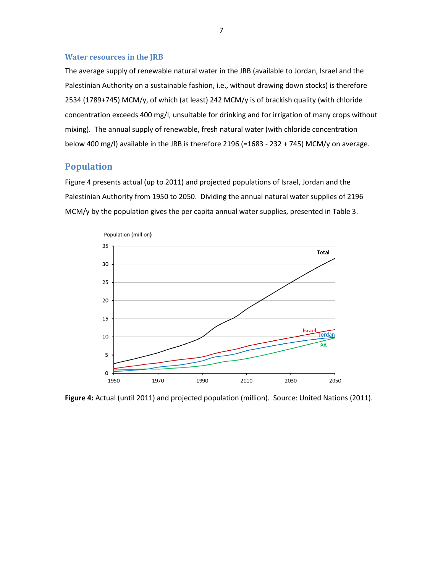#### **Water resources in the JRB**

The average supply of renewable natural water in the JRB (available to Jordan, Israel and the Palestinian Authority on a sustainable fashion, i.e., without drawing down stocks) is therefore 2534 (1789+745) MCM/y, of which (at least) 242 MCM/y is of brackish quality (with chloride concentration exceeds 400 mg/l, unsuitable for drinking and for irrigation of many crops without mixing). The annual supply of renewable, fresh natural water (with chloride concentration below 400 mg/l) available in the JRB is therefore 2196 (=1683 - 232 + 745) MCM/y on average.

### **Population**

Figure 4 presents actual (up to 2011) and projected populations of Israel, Jordan and the Palestinian Authority from 1950 to 2050. Dividing the annual natural water supplies of 2196 MCM/y by the population gives the per capita annual water supplies, presented in Table 3.



**Figure 4:** Actual (until 2011) and projected population (million). Source: United Nations (2011).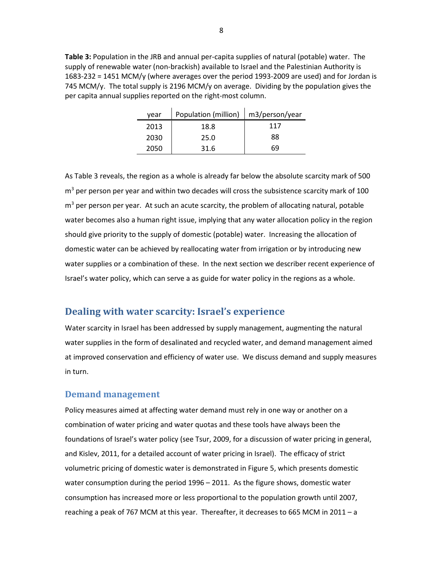**Table 3:** Population in the JRB and annual per-capita supplies of natural (potable) water. The supply of renewable water (non-brackish) available to Israel and the Palestinian Authority is 1683-232 = 1451 MCM/y (where averages over the period 1993-2009 are used) and for Jordan is 745 MCM/y. The total supply is 2196 MCM/y on average. Dividing by the population gives the per capita annual supplies reported on the right-most column.

| vear | Population (million)   m3/person/year |     |  |
|------|---------------------------------------|-----|--|
| 2013 | 18.8                                  | 117 |  |
| 2030 | 25.0                                  | 88  |  |
| 2050 | 31.6                                  | 69  |  |

As Table 3 reveals, the region as a whole is already far below the absolute scarcity mark of 500  $m<sup>3</sup>$  per person per year and within two decades will cross the subsistence scarcity mark of 100  $m<sup>3</sup>$  per person per year. At such an acute scarcity, the problem of allocating natural, potable water becomes also a human right issue, implying that any water allocation policy in the region should give priority to the supply of domestic (potable) water. Increasing the allocation of domestic water can be achieved by reallocating water from irrigation or by introducing new water supplies or a combination of these. In the next section we describer recent experience of Israel's water policy, which can serve a as guide for water policy in the regions as a whole.

# **Dealing with water scarcity: Israel's experience**

Water scarcity in Israel has been addressed by supply management, augmenting the natural water supplies in the form of desalinated and recycled water, and demand management aimed at improved conservation and efficiency of water use. We discuss demand and supply measures in turn.

#### **Demand management**

Policy measures aimed at affecting water demand must rely in one way or another on a combination of water pricing and water quotas and these tools have always been the foundations of Israel's water policy (see Tsur, 2009, for a discussion of water pricing in general, and Kislev, 2011, for a detailed account of water pricing in Israel). The efficacy of strict volumetric pricing of domestic water is demonstrated in Figure 5, which presents domestic water consumption during the period 1996 – 2011. As the figure shows, domestic water consumption has increased more or less proportional to the population growth until 2007, reaching a peak of 767 MCM at this year. Thereafter, it decreases to 665 MCM in 2011 – a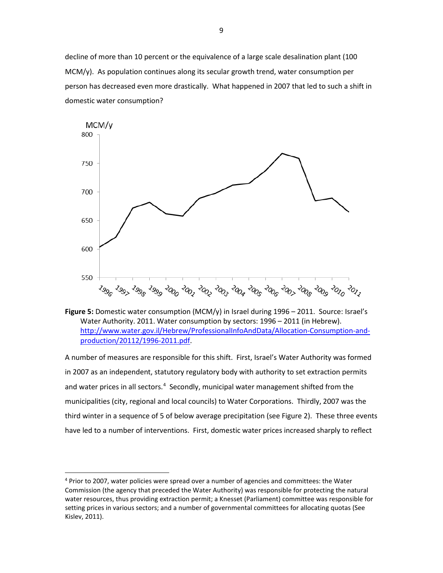decline of more than 10 percent or the equivalence of a large scale desalination plant (100 MCM/y). As population continues along its secular growth trend, water consumption per person has decreased even more drastically. What happened in 2007 that led to such a shift in domestic water consumption?





A number of measures are responsible for this shift. First, Israel's Water Authority was formed in 2007 as an independent, statutory regulatory body with authority to set extraction permits and water prices in all sectors.<sup>[4](#page-10-0)</sup> Secondly, municipal water management shifted from the municipalities (city, regional and local councils) to Water Corporations. Thirdly, 2007 was the third winter in a sequence of 5 of below average precipitation (see Figure 2). These three events have led to a number of interventions. First, domestic water prices increased sharply to reflect

 $\overline{a}$ 

<span id="page-10-0"></span><sup>4</sup> Prior to 2007, water policies were spread over a number of agencies and committees: the Water Commission (the agency that preceded the Water Authority) was responsible for protecting the natural water resources, thus providing extraction permit; a Knesset (Parliament) committee was responsible for setting prices in various sectors; and a number of governmental committees for allocating quotas (See Kislev, 2011).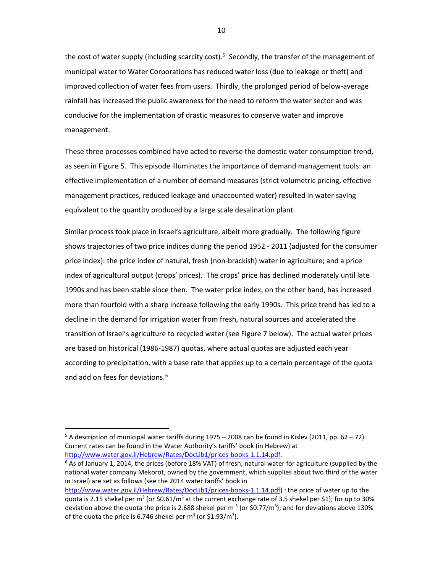the cost of water supply (including scarcity cost).<sup>[5](#page-11-0)</sup> Secondly, the transfer of the management of municipal water to Water Corporations has reduced water loss (due to leakage or theft) and improved collection of water fees from users. Thirdly, the prolonged period of below-average rainfall has increased the public awareness for the need to reform the water sector and was conducive for the implementation of drastic measures to conserve water and improve management.

These three processes combined have acted to reverse the domestic water consumption trend, as seen in Figure 5. This episode illuminates the importance of demand management tools: an effective implementation of a number of demand measures (strict volumetric pricing, effective management practices, reduced leakage and unaccounted water) resulted in water saving equivalent to the quantity produced by a large scale desalination plant.

Similar process took place in Israel's agriculture, albeit more gradually. The following figure shows trajectories of two price indices during the period 1952 - 2011 (adjusted for the consumer price index): the price index of natural, fresh (non-brackish) water in agriculture; and a price index of agricultural output (crops' prices). The crops' price has declined moderately until late 1990s and has been stable since then. The water price index, on the other hand, has increased more than fourfold with a sharp increase following the early 1990s. This price trend has led to a decline in the demand for irrigation water from fresh, natural sources and accelerated the transition of Israel's agriculture to recycled water (see Figure 7 below). The actual water prices are based on historical (1986-1987) quotas, where actual quotas are adjusted each year according to precipitation, with a base rate that applies up to a certain percentage of the quota and add on fees for deviations.<sup>[6](#page-11-1)</sup>

 $\overline{a}$ 

<span id="page-11-0"></span> $5$  A description of municipal water tariffs during 1975 – 2008 can be found in Kislev (2011, pp. 62 – 72). Current rates can be found in the Water Authority's tariffs' book (in Hebrew) at [http://www.water.gov.il/Hebrew/Rates/DocLib1/prices-books-1.1.14.pdf.](http://www.water.gov.il/Hebrew/Rates/DocLib1/prices-books-1.1.14.pdf)<br><sup>6</sup> As of January 1, 2014, the prices (before 18% VAT) of fresh, natural water for agriculture (supplied by the

<span id="page-11-1"></span>national water company Mekorot, owned by the government, which supplies about two third of the water in Israel) are set as follows (see the 2014 water tariffs' book in

[http://www.water.gov.il/Hebrew/Rates/DocLib1/prices-books-1.1.14.pdf\)](http://www.water.gov.il/Hebrew/Rates/DocLib1/prices-books-1.1.14.pdf) : the price of water up to the quota is 2.15 shekel per m<sup>3</sup> (or \$0.61/m<sup>3</sup> at the current exchange rate of 3.5 shekel per \$1); for up to 30% deviation above the quota the price is 2.688 shekel per m<sup>3</sup> (or \$0.77/m<sup>3</sup>); and for deviations above 130% of the quota the price is 6.746 shekel per  $m^3$  (or \$1.93/ $m^3$ ).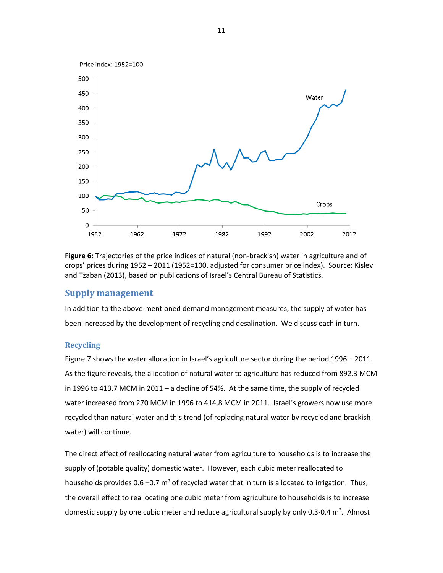

**Figure 6:** Trajectories of the price indices of natural (non-brackish) water in agriculture and of crops' prices during 1952 – 2011 (1952=100, adjusted for consumer price index). Source: Kislev and Tzaban (2013), based on publications of Israel's Central Bureau of Statistics.

#### **Supply management**

In addition to the above-mentioned demand management measures, the supply of water has been increased by the development of recycling and desalination. We discuss each in turn.

#### **Recycling**

Figure 7 shows the water allocation in Israel's agriculture sector during the period 1996 – 2011. As the figure reveals, the allocation of natural water to agriculture has reduced from 892.3 MCM in 1996 to 413.7 MCM in 2011 – a decline of 54%. At the same time, the supply of recycled water increased from 270 MCM in 1996 to 414.8 MCM in 2011. Israel's growers now use more recycled than natural water and this trend (of replacing natural water by recycled and brackish water) will continue.

The direct effect of reallocating natural water from agriculture to households is to increase the supply of (potable quality) domestic water. However, each cubic meter reallocated to households provides 0.6 –0.7  $m<sup>3</sup>$  of recycled water that in turn is allocated to irrigation. Thus, the overall effect to reallocating one cubic meter from agriculture to households is to increase domestic supply by one cubic meter and reduce agricultural supply by only 0.3-0.4  $m^3$ . Almost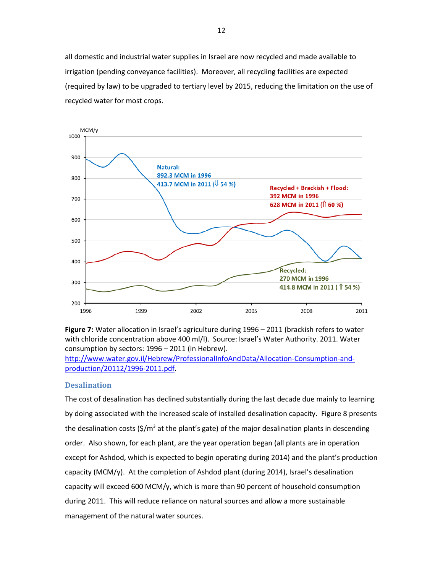all domestic and industrial water supplies in Israel are now recycled and made available to irrigation (pending conveyance facilities). Moreover, all recycling facilities are expected (required by law) to be upgraded to tertiary level by 2015, reducing the limitation on the use of recycled water for most crops.





[http://www.water.gov.il/Hebrew/ProfessionalInfoAndData/Allocation-Consumption-and](http://www.water.gov.il/Hebrew/ProfessionalInfoAndData/Allocation-Consumption-and-production/20112/1996-2011.pdf)[production/20112/1996-2011.pdf.](http://www.water.gov.il/Hebrew/ProfessionalInfoAndData/Allocation-Consumption-and-production/20112/1996-2011.pdf)

#### **Desalination**

The cost of desalination has declined substantially during the last decade due mainly to learning by doing associated with the increased scale of installed desalination capacity. Figure 8 presents the desalination costs  $(\frac{\xi}{m^3}$  at the plant's gate) of the major desalination plants in descending order. Also shown, for each plant, are the year operation began (all plants are in operation except for Ashdod, which is expected to begin operating during 2014) and the plant's production capacity (MCM/y). At the completion of Ashdod plant (during 2014), Israel's desalination capacity will exceed 600 MCM/y, which is more than 90 percent of household consumption during 2011. This will reduce reliance on natural sources and allow a more sustainable management of the natural water sources.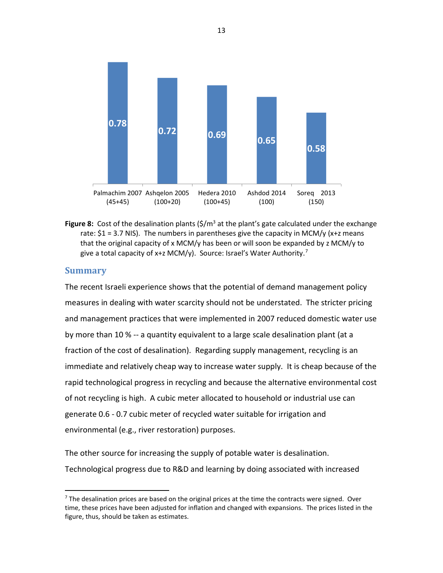

**Figure 8:** Cost of the desalination plants  $(\frac{\xi}{m^3})$  at the plant's gate calculated under the exchange rate:  $$1 = 3.7$  NIS). The numbers in parentheses give the capacity in MCM/y (x+z means that the original capacity of x MCM/y has been or will soon be expanded by z MCM/y to give a total capacity of x+z MCM/y). Source: Israel's Water Authority.<sup>[7](#page-14-0)</sup>

# **Summary**

l

The recent Israeli experience shows that the potential of demand management policy measures in dealing with water scarcity should not be understated. The stricter pricing and management practices that were implemented in 2007 reduced domestic water use by more than 10 % -- a quantity equivalent to a large scale desalination plant (at a fraction of the cost of desalination). Regarding supply management, recycling is an immediate and relatively cheap way to increase water supply. It is cheap because of the rapid technological progress in recycling and because the alternative environmental cost of not recycling is high. A cubic meter allocated to household or industrial use can generate 0.6 - 0.7 cubic meter of recycled water suitable for irrigation and environmental (e.g., river restoration) purposes.

The other source for increasing the supply of potable water is desalination. Technological progress due to R&D and learning by doing associated with increased

<span id="page-14-0"></span> $<sup>7</sup>$  The desalination prices are based on the original prices at the time the contracts were signed. Over</sup> time, these prices have been adjusted for inflation and changed with expansions. The prices listed in the figure, thus, should be taken as estimates.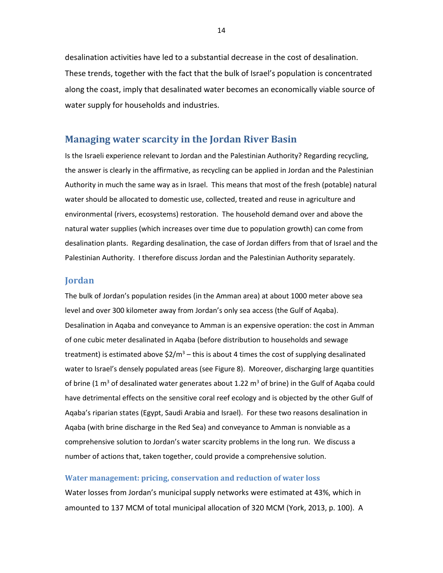desalination activities have led to a substantial decrease in the cost of desalination. These trends, together with the fact that the bulk of Israel's population is concentrated along the coast, imply that desalinated water becomes an economically viable source of water supply for households and industries.

### **Managing water scarcity in the Jordan River Basin**

Is the Israeli experience relevant to Jordan and the Palestinian Authority? Regarding recycling, the answer is clearly in the affirmative, as recycling can be applied in Jordan and the Palestinian Authority in much the same way as in Israel. This means that most of the fresh (potable) natural water should be allocated to domestic use, collected, treated and reuse in agriculture and environmental (rivers, ecosystems) restoration. The household demand over and above the natural water supplies (which increases over time due to population growth) can come from desalination plants. Regarding desalination, the case of Jordan differs from that of Israel and the Palestinian Authority. I therefore discuss Jordan and the Palestinian Authority separately.

#### **Jordan**

The bulk of Jordan's population resides (in the Amman area) at about 1000 meter above sea level and over 300 kilometer away from Jordan's only sea access (the Gulf of Aqaba). Desalination in Aqaba and conveyance to Amman is an expensive operation: the cost in Amman of one cubic meter desalinated in Aqaba (before distribution to households and sewage treatment) is estimated above  $$2/m^3$  – this is about 4 times the cost of supplying desalinated water to Israel's densely populated areas (see Figure 8). Moreover, discharging large quantities of brine (1  $\text{m}^3$  of desalinated water generates about 1.22  $\text{m}^3$  of brine) in the Gulf of Aqaba could have detrimental effects on the sensitive coral reef ecology and is objected by the other Gulf of Aqaba's riparian states (Egypt, Saudi Arabia and Israel). For these two reasons desalination in Aqaba (with brine discharge in the Red Sea) and conveyance to Amman is nonviable as a comprehensive solution to Jordan's water scarcity problems in the long run. We discuss a number of actions that, taken together, could provide a comprehensive solution.

#### **Water management: pricing, conservation and reduction of water loss**

Water losses from Jordan's municipal supply networks were estimated at 43%, which in amounted to 137 MCM of total municipal allocation of 320 MCM (York, 2013, p. 100). A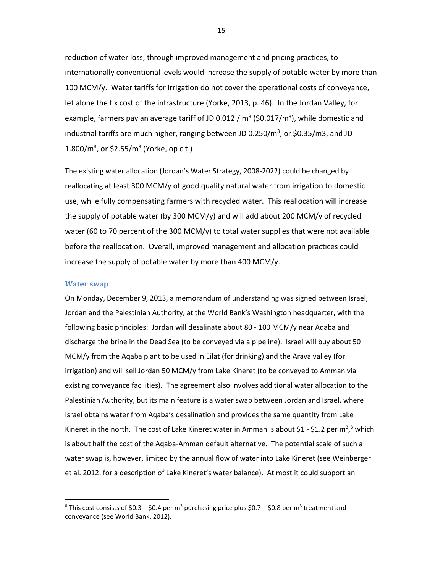reduction of water loss, through improved management and pricing practices, to internationally conventional levels would increase the supply of potable water by more than 100 MCM/y. Water tariffs for irrigation do not cover the operational costs of conveyance, let alone the fix cost of the infrastructure (Yorke, 2013, p. 46). In the Jordan Valley, for example, farmers pay an average tariff of JD 0.012 /  $\text{m}^3$  (\$0.017/ $\text{m}^3$ ), while domestic and industrial tariffs are much higher, ranging between JD 0.250/m<sup>3</sup>, or \$0.35/m3, and JD  $1.800/m^3$ , or \$2.55/m<sup>3</sup> (Yorke, op cit.)

The existing water allocation (Jordan's Water Strategy, 2008-2022) could be changed by reallocating at least 300 MCM/y of good quality natural water from irrigation to domestic use, while fully compensating farmers with recycled water. This reallocation will increase the supply of potable water (by 300 MCM/y) and will add about 200 MCM/y of recycled water (60 to 70 percent of the 300 MCM/y) to total water supplies that were not available before the reallocation. Overall, improved management and allocation practices could increase the supply of potable water by more than 400 MCM/y.

#### **Water swap**

 $\overline{a}$ 

On Monday, December 9, 2013, a memorandum of understanding was signed between Israel, Jordan and the Palestinian Authority, at the World Bank's Washington headquarter, with the following basic principles: Jordan will desalinate about 80 - 100 MCM/y near Aqaba and discharge the brine in the Dead Sea (to be conveyed via a pipeline). Israel will buy about 50 MCM/y from the Aqaba plant to be used in Eilat (for drinking) and the Arava valley (for irrigation) and will sell Jordan 50 MCM/y from Lake Kineret (to be conveyed to Amman via existing conveyance facilities). The agreement also involves additional water allocation to the Palestinian Authority, but its main feature is a water swap between Jordan and Israel, where Israel obtains water from Aqaba's desalination and provides the same quantity from Lake Kineret in the north. The cost of Lake Kineret water in Amman is about \$1 - \$1.2 per m<sup>3</sup>,<sup>[8](#page-16-0)</sup> which is about half the cost of the Aqaba-Amman default alternative. The potential scale of such a water swap is, however, limited by the annual flow of water into Lake Kineret (see Weinberger et al. 2012, for a description of Lake Kineret's water balance). At most it could support an

<span id="page-16-0"></span><sup>&</sup>lt;sup>8</sup> This cost consists of \$0.3 – \$0.4 per m<sup>3</sup> purchasing price plus \$0.7 – \$0.8 per m<sup>3</sup> treatment and conveyance (see World Bank, 2012).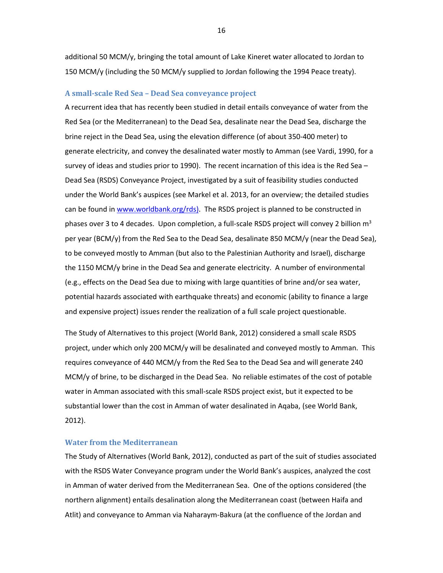additional 50 MCM/y, bringing the total amount of Lake Kineret water allocated to Jordan to 150 MCM/y (including the 50 MCM/y supplied to Jordan following the 1994 Peace treaty).

#### **A small-scale Red Sea – Dead Sea conveyance project**

A recurrent idea that has recently been studied in detail entails conveyance of water from the Red Sea (or the Mediterranean) to the Dead Sea, desalinate near the Dead Sea, discharge the brine reject in the Dead Sea, using the elevation difference (of about 350-400 meter) to generate electricity, and convey the desalinated water mostly to Amman (see Vardi, 1990, for a survey of ideas and studies prior to 1990). The recent incarnation of this idea is the Red Sea – Dead Sea (RSDS) Conveyance Project, investigated by a suit of feasibility studies conducted under the World Bank's auspices (see Markel et al. 2013, for an overview; the detailed studies can be found i[n www.worldbank.org/rds\)](http://www.worldbank.org/rds). The RSDS project is planned to be constructed in phases over 3 to 4 decades. Upon completion, a full-scale RSDS project will convey 2 billion m<sup>3</sup> per year (BCM/y) from the Red Sea to the Dead Sea, desalinate 850 MCM/y (near the Dead Sea), to be conveyed mostly to Amman (but also to the Palestinian Authority and Israel), discharge the 1150 MCM/y brine in the Dead Sea and generate electricity. A number of environmental (e.g., effects on the Dead Sea due to mixing with large quantities of brine and/or sea water, potential hazards associated with earthquake threats) and economic (ability to finance a large and expensive project) issues render the realization of a full scale project questionable.

The Study of Alternatives to this project (World Bank, 2012) considered a small scale RSDS project, under which only 200 MCM/y will be desalinated and conveyed mostly to Amman. This requires conveyance of 440 MCM/y from the Red Sea to the Dead Sea and will generate 240 MCM/y of brine, to be discharged in the Dead Sea. No reliable estimates of the cost of potable water in Amman associated with this small-scale RSDS project exist, but it expected to be substantial lower than the cost in Amman of water desalinated in Aqaba, (see World Bank, 2012).

#### **Water from the Mediterranean**

The Study of Alternatives (World Bank, 2012), conducted as part of the suit of studies associated with the RSDS Water Conveyance program under the World Bank's auspices, analyzed the cost in Amman of water derived from the Mediterranean Sea. One of the options considered (the northern alignment) entails desalination along the Mediterranean coast (between Haifa and Atlit) and conveyance to Amman via Naharaym-Bakura (at the confluence of the Jordan and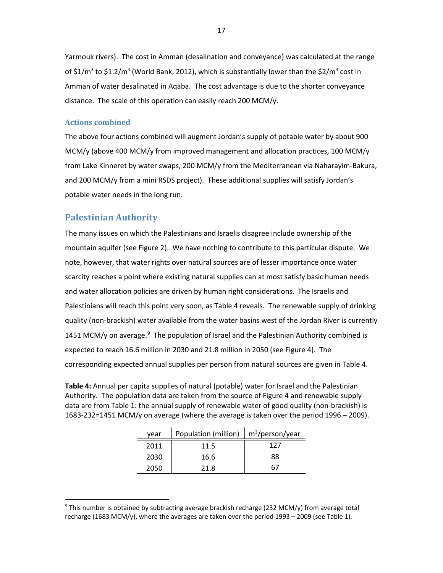Yarmouk rivers). The cost in Amman (desalination and conveyance) was calculated at the range of \$1/m<sup>3</sup> to \$1.2/m<sup>3</sup> (World Bank, 2012), which is substantially lower than the \$2/m<sup>3</sup> cost in Amman of water desalinated in Aqaba. The cost advantage is due to the shorter conveyance distance. The scale of this operation can easily reach 200 MCM/y.

#### **Actions combined**

The above four actions combined will augment Jordan's supply of potable water by about 900 MCM/y (above 400 MCM/y from improved management and allocation practices, 100 MCM/y from Lake Kinneret by water swaps, 200 MCM/y from the Mediterranean via Naharayim-Bakura, and 200 MCM/y from a mini RSDS project). These additional supplies will satisfy Jordan's potable water needs in the long run.

# **Palestinian Authority**

 $\overline{a}$ 

The many issues on which the Palestinians and Israelis disagree include ownership of the mountain aquifer (see Figure 2). We have nothing to contribute to this particular dispute. We note, however, that water rights over natural sources are of lesser importance once water scarcity reaches a point where existing natural supplies can at most satisfy basic human needs and water allocation policies are driven by human right considerations. The Israelis and Palestinians will reach this point very soon, as Table 4 reveals. The renewable supply of drinking quality (non-brackish) water available from the water basins west of the Jordan River is currently 1451 MCM/y on average.<sup>[9](#page-18-0)</sup> The population of Israel and the Palestinian Authority combined is expected to reach 16.6 million in 2030 and 21.8 million in 2050 (see Figure 4). The corresponding expected annual supplies per person from natural sources are given in Table 4.

**Table 4:** Annual per capita supplies of natural (potable) water for Israel and the Palestinian Authority. The population data are taken from the source of Figure 4 and renewable supply data are from Table 1: the annual supply of renewable water of good quality (non-brackish) is 1683-232=1451 MCM/y on average (where the average is taken over the period 1996 – 2009).

| year | Population (million) $\mid$ m <sup>3</sup> /person/year |     |  |
|------|---------------------------------------------------------|-----|--|
| 2011 | 11.5                                                    | 127 |  |
| 2030 | 16.6                                                    | 88  |  |
| 2050 | 21.8                                                    | 67  |  |

<span id="page-18-0"></span> $9$  This number is obtained by subtracting average brackish recharge (232 MCM/y) from average total recharge (1683 MCM/y), where the averages are taken over the period 1993 – 2009 (see Table 1).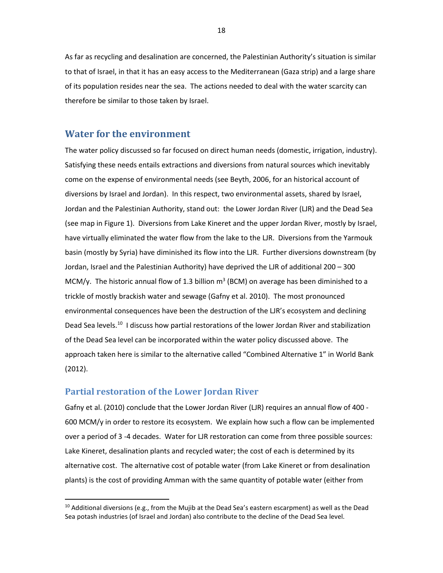As far as recycling and desalination are concerned, the Palestinian Authority's situation is similar to that of Israel, in that it has an easy access to the Mediterranean (Gaza strip) and a large share of its population resides near the sea. The actions needed to deal with the water scarcity can therefore be similar to those taken by Israel.

### **Water for the environment**

The water policy discussed so far focused on direct human needs (domestic, irrigation, industry). Satisfying these needs entails extractions and diversions from natural sources which inevitably come on the expense of environmental needs (see Beyth, 2006, for an historical account of diversions by Israel and Jordan). In this respect, two environmental assets, shared by Israel, Jordan and the Palestinian Authority, stand out: the Lower Jordan River (LJR) and the Dead Sea (see map in Figure 1). Diversions from Lake Kineret and the upper Jordan River, mostly by Israel, have virtually eliminated the water flow from the lake to the LJR. Diversions from the Yarmouk basin (mostly by Syria) have diminished its flow into the LJR. Further diversions downstream (by Jordan, Israel and the Palestinian Authority) have deprived the LJR of additional 200 – 300 MCM/y. The historic annual flow of 1.3 billion  $m<sup>3</sup>$  (BCM) on average has been diminished to a trickle of mostly brackish water and sewage (Gafny et al. 2010). The most pronounced environmental consequences have been the destruction of the LJR's ecosystem and declining Dead Sea levels.<sup>[10](#page-19-0)</sup> I discuss how partial restorations of the lower Jordan River and stabilization of the Dead Sea level can be incorporated within the water policy discussed above. The approach taken here is similar to the alternative called "Combined Alternative 1" in World Bank (2012).

#### **Partial restoration of the Lower Jordan River**

 $\overline{a}$ 

Gafny et al. (2010) conclude that the Lower Jordan River (LJR) requires an annual flow of 400 - 600 MCM/y in order to restore its ecosystem. We explain how such a flow can be implemented over a period of 3 -4 decades. Water for LJR restoration can come from three possible sources: Lake Kineret, desalination plants and recycled water; the cost of each is determined by its alternative cost. The alternative cost of potable water (from Lake Kineret or from desalination plants) is the cost of providing Amman with the same quantity of potable water (either from

<span id="page-19-0"></span> $10$  Additional diversions (e.g., from the Mujib at the Dead Sea's eastern escarpment) as well as the Dead Sea potash industries (of Israel and Jordan) also contribute to the decline of the Dead Sea level.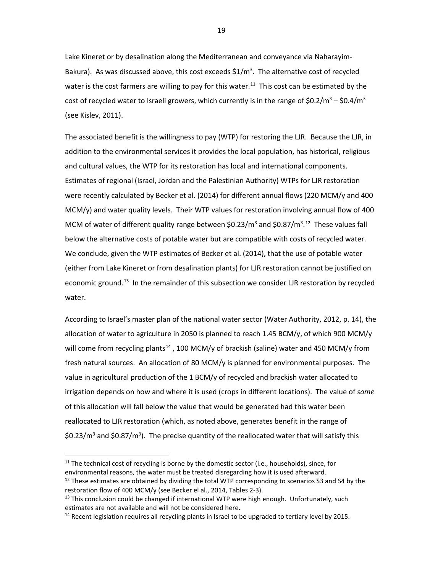Lake Kineret or by desalination along the Mediterranean and conveyance via Naharayim-Bakura). As was discussed above, this cost exceeds  $$1/m<sup>3</sup>$ . The alternative cost of recycled water is the cost farmers are willing to pay for this water.<sup>[11](#page-20-0)</sup> This cost can be estimated by the cost of recycled water to Israeli growers, which currently is in the range of  $\text{50.2/m}^3$  –  $\text{50.4/m}^3$ (see Kislev, 2011).

The associated benefit is the willingness to pay (WTP) for restoring the LJR. Because the LJR, in addition to the environmental services it provides the local population, has historical, religious and cultural values, the WTP for its restoration has local and international components. Estimates of regional (Israel, Jordan and the Palestinian Authority) WTPs for LJR restoration were recently calculated by Becker et al. (2014) for different annual flows (220 MCM/y and 400 MCM/y) and water quality levels. Their WTP values for restoration involving annual flow of 400 MCM of water of different quality range between \$0.23/m<sup>3</sup> and \$0.87/m<sup>3</sup>.<sup>[12](#page-20-1)</sup> These values fall below the alternative costs of potable water but are compatible with costs of recycled water. We conclude, given the WTP estimates of Becker et al. (2014), that the use of potable water (either from Lake Kineret or from desalination plants) for LJR restoration cannot be justified on economic ground.<sup>[13](#page-20-2)</sup> In the remainder of this subsection we consider LJR restoration by recycled water.

According to Israel's master plan of the national water sector (Water Authority, 2012, p. 14), the allocation of water to agriculture in 2050 is planned to reach 1.45 BCM/y, of which 900 MCM/y will come from recycling plants<sup>[14](#page-20-3)</sup>, 100 MCM/y of brackish (saline) water and 450 MCM/y from fresh natural sources. An allocation of 80 MCM/y is planned for environmental purposes. The value in agricultural production of the 1 BCM/y of recycled and brackish water allocated to irrigation depends on how and where it is used (crops in different locations). The value of *some* of this allocation will fall below the value that would be generated had this water been reallocated to LJR restoration (which, as noted above, generates benefit in the range of \$0.23/ $m^3$  and \$0.87/ $m^3$ ). The precise quantity of the reallocated water that will satisfy this

 $\overline{a}$ 

<span id="page-20-0"></span> $11$  The technical cost of recycling is borne by the domestic sector (i.e., households), since, for environmental reasons, the water must be treated disregarding how it is used afterward.

<span id="page-20-1"></span> $12$  These estimates are obtained by dividing the total WTP corresponding to scenarios S3 and S4 by the restoration flow of 400 MCM/y (see Becker el al., 2014, Tables 2-3).<br><sup>13</sup> This conclusion could be changed if international WTP were high enough. Unfortunately, such

<span id="page-20-2"></span>estimates are not available and will not be considered here.

<span id="page-20-3"></span> $<sup>14</sup>$  Recent legislation requires all recycling plants in Israel to be upgraded to tertiary level by 2015.</sup>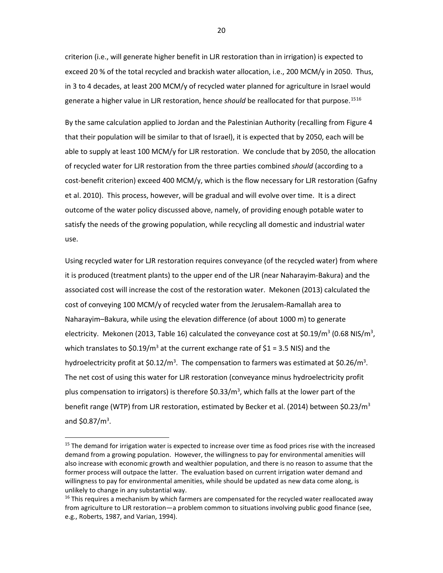criterion (i.e., will generate higher benefit in LJR restoration than in irrigation) is expected to exceed 20 % of the total recycled and brackish water allocation, i.e., 200 MCM/y in 2050. Thus, in 3 to 4 decades, at least 200 MCM/y of recycled water planned for agriculture in Israel would generate a higher value in LJR restoration, hence *should* be reallocated for that purpose. [15](#page-21-0)[16](#page-21-1)

By the same calculation applied to Jordan and the Palestinian Authority (recalling from Figure 4 that their population will be similar to that of Israel), it is expected that by 2050, each will be able to supply at least 100 MCM/y for LJR restoration. We conclude that by 2050, the allocation of recycled water for LJR restoration from the three parties combined *should* (according to a cost-benefit criterion) exceed 400 MCM/y, which is the flow necessary for LJR restoration (Gafny et al. 2010). This process, however, will be gradual and will evolve over time. It is a direct outcome of the water policy discussed above, namely, of providing enough potable water to satisfy the needs of the growing population, while recycling all domestic and industrial water use.

Using recycled water for LJR restoration requires conveyance (of the recycled water) from where it is produced (treatment plants) to the upper end of the LJR (near Naharayim-Bakura) and the associated cost will increase the cost of the restoration water. Mekonen (2013) calculated the cost of conveying 100 MCM/y of recycled water from the Jerusalem-Ramallah area to Naharayim–Bakura, while using the elevation difference (of about 1000 m) to generate electricity. Mekonen (2013, Table 16) calculated the conveyance cost at \$0.19/m<sup>3</sup> (0.68 NIS/m<sup>3</sup>, which translates to \$0.19/m<sup>3</sup> at the current exchange rate of \$1 = 3.5 NIS) and the hydroelectricity profit at \$0.12/m<sup>3</sup>. The compensation to farmers was estimated at \$0.26/m<sup>3</sup>. The net cost of using this water for LJR restoration (conveyance minus hydroelectricity profit plus compensation to irrigators) is therefore \$0.33/m<sup>3</sup>, which falls at the lower part of the benefit range (WTP) from LJR restoration, estimated by Becker et al. (2014) between \$0.23/m<sup>3</sup> and  $$0.87/m<sup>3</sup>$ .

 $\overline{a}$ 

20

<span id="page-21-0"></span><sup>&</sup>lt;sup>15</sup> The demand for irrigation water is expected to increase over time as food prices rise with the increased demand from a growing population. However, the willingness to pay for environmental amenities will also increase with economic growth and wealthier population, and there is no reason to assume that the former process will outpace the latter. The evaluation based on current irrigation water demand and willingness to pay for environmental amenities, while should be updated as new data come along, is unlikely to change in any substantial way.

<span id="page-21-1"></span> $16$  This requires a mechanism by which farmers are compensated for the recycled water reallocated away from agriculture to LJR restoration—a problem common to situations involving public good finance (see, e.g., Roberts, 1987, and Varian, 1994).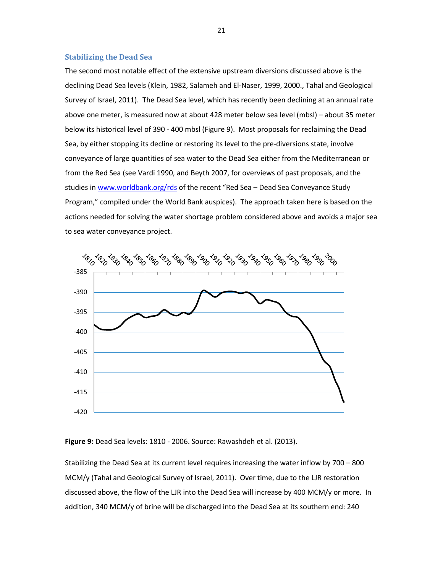#### **Stabilizing the Dead Sea**

The second most notable effect of the extensive upstream diversions discussed above is the declining Dead Sea levels (Klein, 1982, Salameh and El-Naser, 1999, 2000., Tahal and Geological Survey of Israel, 2011). The Dead Sea level, which has recently been declining at an annual rate above one meter, is measured now at about 428 meter below sea level (mbsl) – about 35 meter below its historical level of 390 - 400 mbsl (Figure 9). Most proposals for reclaiming the Dead Sea, by either stopping its decline or restoring its level to the pre-diversions state, involve conveyance of large quantities of sea water to the Dead Sea either from the Mediterranean or from the Red Sea (see Vardi 1990, and Beyth 2007, for overviews of past proposals, and the studies in [www.worldbank.org/rds](http://www.worldbank.org/rds) of the recent "Red Sea – Dead Sea Conveyance Study Program," compiled under the World Bank auspices). The approach taken here is based on the actions needed for solving the water shortage problem considered above and avoids a major sea to sea water conveyance project.



**Figure 9:** Dead Sea levels: 1810 - 2006. Source: Rawashdeh et al. (2013).

Stabilizing the Dead Sea at its current level requires increasing the water inflow by 700 – 800 MCM/y (Tahal and Geological Survey of Israel, 2011). Over time, due to the LJR restoration discussed above, the flow of the LJR into the Dead Sea will increase by 400 MCM/y or more. In addition, 340 MCM/y of brine will be discharged into the Dead Sea at its southern end: 240

21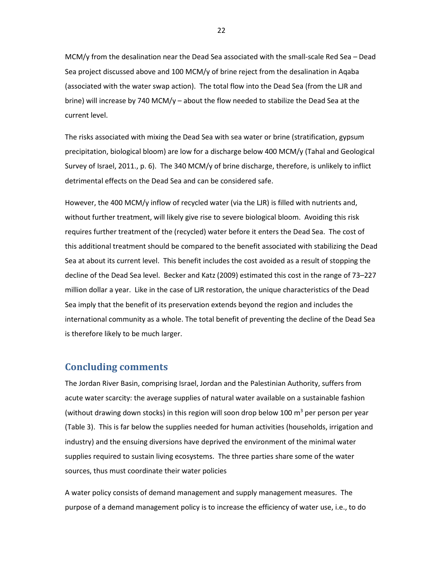MCM/y from the desalination near the Dead Sea associated with the small-scale Red Sea – Dead Sea project discussed above and 100 MCM/y of brine reject from the desalination in Aqaba (associated with the water swap action). The total flow into the Dead Sea (from the LJR and brine) will increase by 740 MCM/y – about the flow needed to stabilize the Dead Sea at the current level.

The risks associated with mixing the Dead Sea with sea water or brine (stratification, gypsum precipitation, biological bloom) are low for a discharge below 400 MCM/y (Tahal and Geological Survey of Israel, 2011., p. 6). The 340 MCM/y of brine discharge, therefore, is unlikely to inflict detrimental effects on the Dead Sea and can be considered safe.

However, the 400 MCM/y inflow of recycled water (via the LJR) is filled with nutrients and, without further treatment, will likely give rise to severe biological bloom. Avoiding this risk requires further treatment of the (recycled) water before it enters the Dead Sea. The cost of this additional treatment should be compared to the benefit associated with stabilizing the Dead Sea at about its current level. This benefit includes the cost avoided as a result of stopping the decline of the Dead Sea level. Becker and Katz (2009) estimated this cost in the range of 73–227 million dollar a year. Like in the case of LJR restoration, the unique characteristics of the Dead Sea imply that the benefit of its preservation extends beyond the region and includes the international community as a whole. The total benefit of preventing the decline of the Dead Sea is therefore likely to be much larger.

### **Concluding comments**

The Jordan River Basin, comprising Israel, Jordan and the Palestinian Authority, suffers from acute water scarcity: the average supplies of natural water available on a sustainable fashion (without drawing down stocks) in this region will soon drop below 100  $\text{m}^3$  per person per year (Table 3). This is far below the supplies needed for human activities (households, irrigation and industry) and the ensuing diversions have deprived the environment of the minimal water supplies required to sustain living ecosystems. The three parties share some of the water sources, thus must coordinate their water policies

A water policy consists of demand management and supply management measures. The purpose of a demand management policy is to increase the efficiency of water use, i.e., to do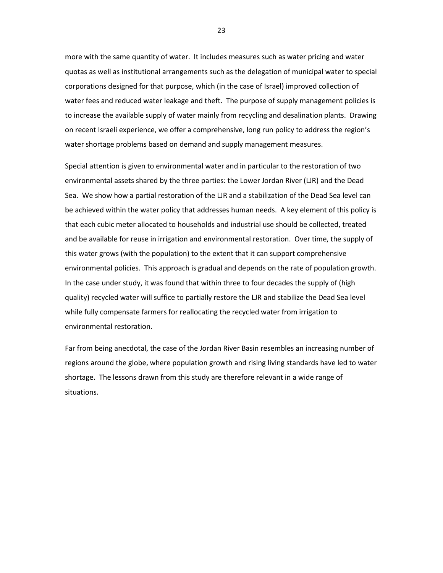more with the same quantity of water. It includes measures such as water pricing and water quotas as well as institutional arrangements such as the delegation of municipal water to special corporations designed for that purpose, which (in the case of Israel) improved collection of water fees and reduced water leakage and theft. The purpose of supply management policies is to increase the available supply of water mainly from recycling and desalination plants. Drawing on recent Israeli experience, we offer a comprehensive, long run policy to address the region's water shortage problems based on demand and supply management measures.

Special attention is given to environmental water and in particular to the restoration of two environmental assets shared by the three parties: the Lower Jordan River (LJR) and the Dead Sea. We show how a partial restoration of the LJR and a stabilization of the Dead Sea level can be achieved within the water policy that addresses human needs. A key element of this policy is that each cubic meter allocated to households and industrial use should be collected, treated and be available for reuse in irrigation and environmental restoration. Over time, the supply of this water grows (with the population) to the extent that it can support comprehensive environmental policies. This approach is gradual and depends on the rate of population growth. In the case under study, it was found that within three to four decades the supply of (high quality) recycled water will suffice to partially restore the LJR and stabilize the Dead Sea level while fully compensate farmers for reallocating the recycled water from irrigation to environmental restoration.

Far from being anecdotal, the case of the Jordan River Basin resembles an increasing number of regions around the globe, where population growth and rising living standards have led to water shortage. The lessons drawn from this study are therefore relevant in a wide range of situations.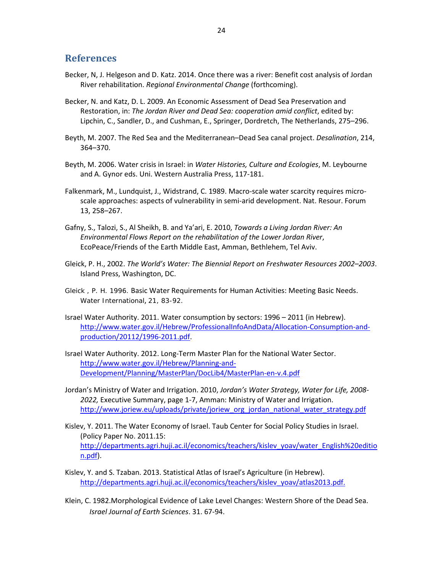# **References**

- Becker, N, J. Helgeson and D. Katz. 2014. Once there was a river: Benefit cost analysis of Jordan River rehabilitation. *Regional Environmental Change* (forthcoming).
- Becker, N. and Katz, D. L. 2009. An Economic Assessment of Dead Sea Preservation and Restoration, in: *The Jordan River and Dead Sea: cooperation amid conflict*, edited by: Lipchin, C., Sandler, D., and Cushman, E., Springer, Dordretch, The Netherlands, 275–296.
- Beyth, M. 2007. The Red Sea and the Mediterranean–Dead Sea canal project. *Desalination*, 214, 364–370.
- Beyth, M. 2006. Water crisis in Israel: in *Water Histories, Culture and Ecologies*, M. Leybourne and A. Gynor eds. Uni. Western Australia Press, 117-181.
- Falkenmark, M., Lundquist, J., Widstrand, C. 1989. Macro-scale water scarcity requires microscale approaches: aspects of vulnerability in semi-arid development. Nat. Resour. Forum 13, 258–267.
- Gafny, S., Talozi, S., Al Sheikh, B. and Ya'ari, E. 2010, *Towards a Living Jordan River: An Environmental Flows Report on the rehabilitation of the Lower Jordan River*, EcoPeace/Friends of the Earth Middle East, Amman, Bethlehem, Tel Aviv.
- Gleick, P. H., 2002. *The World's Water: The Biennial Report on Freshwater Resources 2002–2003*. Island Press, Washington, DC.
- Gleick , P. H. 1996. [Basic Water Requirements for Human Activities: Meeting Basic Needs.](http://www.tandfonline.com/doi/abs/10.1080/02508069608686494) *[Water International](http://www.tandfonline.com/toc/rwin20/21/2)*, 21, 83-92.
- Israel Water Authority. 2011. Water consumption by sectors: 1996 2011 (in Hebrew). [http://www.water.gov.il/Hebrew/ProfessionalInfoAndData/Allocation-Consumption-and](http://www.water.gov.il/Hebrew/ProfessionalInfoAndData/Allocation-Consumption-and-production/20112/1996-2011.pdf)[production/20112/1996-2011.pdf.](http://www.water.gov.il/Hebrew/ProfessionalInfoAndData/Allocation-Consumption-and-production/20112/1996-2011.pdf)
- Israel Water Authority. 2012. Long-Term Master Plan for the National Water Sector. [http://www.water.gov.il/Hebrew/Planning-and-](http://www.water.gov.il/Hebrew/Planning-and-Development/Planning/MasterPlan/DocLib4/MasterPlan-en-v.4.pdf)[Development/Planning/MasterPlan/DocLib4/MasterPlan-en-v.4.pdf](http://www.water.gov.il/Hebrew/Planning-and-Development/Planning/MasterPlan/DocLib4/MasterPlan-en-v.4.pdf)
- Jordan's Ministry of Water and Irrigation. 2010, *Jordan's Water Strategy, Water for Life, 2008- 2022,* Executive Summary, page 1-7, Amman: Ministry of Water and Irrigation. [http://www.joriew.eu/uploads/private/joriew\\_org\\_jordan\\_national\\_water\\_strategy.pdf](http://www.joriew.eu/uploads/private/joriew_org_jordan_national_water_strategy.pdf)
- Kislev, Y. 2011. The Water Economy of Israel. Taub Center for Social Policy Studies in Israel. (Policy Paper No. 2011.15: [http://departments.agri.huji.ac.il/economics/teachers/kislev\\_yoav/water\\_English%20editio](http://departments.agri.huji.ac.il/economics/teachers/kislev_yoav/water_English%20edition.pdf) [n.pdf\)](http://departments.agri.huji.ac.il/economics/teachers/kislev_yoav/water_English%20edition.pdf).
- Kislev, Y. and S. Tzaban. 2013. Statistical Atlas of Israel's Agriculture (in Hebrew). [http://departments.agri.huji.ac.il/economics/teachers/kislev\\_yoav/atlas2013.pdf.](http://departments.agri.huji.ac.il/economics/teachers/kislev_yoav/atlas2013.pdf)
- Klein, C. 1982.Morphological Evidence of Lake Level Changes: Western Shore of the Dead Sea. *Israel Journal of Earth Sciences*. 31. 67-94.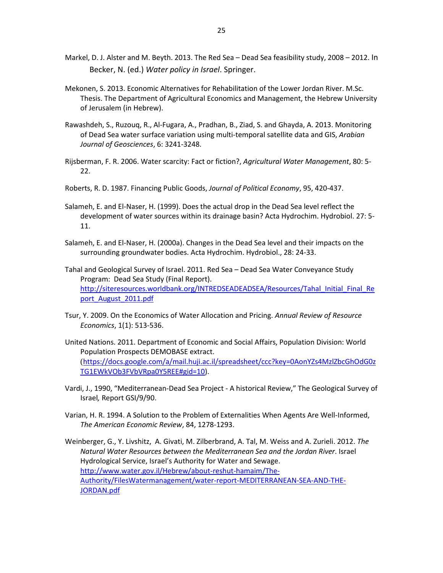- Markel, D. J. Alster and M. Beyth. 2013. The Red Sea Dead Sea feasibility study, 2008 2012. In Becker, N. (ed.) *Water policy in Israel*. Springer.
- Mekonen, S. 2013. Economic Alternatives for Rehabilitation of the Lower Jordan River. M.Sc. Thesis. The Department of Agricultural Economics and Management, the Hebrew University of Jerusalem (in Hebrew).
- Rawashdeh, S., Ruzouq, R., Al-Fugara, A., Pradhan, B., Ziad, S. and Ghayda, A. 2013. Monitoring of Dead Sea water surface variation using multi-temporal satellite data and GIS, *Arabian Journal of Geosciences*, 6: 3241-3248.
- Rijsberman, F. R. 2006. Water scarcity: Fact or fiction?, *Agricultural Water Management*, 80: 5- 22.
- Roberts, R. D. 1987. Financing Public Goods, *Journal of Political Economy*, 95, 420-437.
- Salameh, E. and El-Naser, H. (1999). Does the actual drop in the Dead Sea level reflect the development of water sources within its drainage basin? Acta Hydrochim. Hydrobiol. 27: 5- 11.
- Salameh, E. and El-Naser, H. (2000a). Changes in the Dead Sea level and their impacts on the surrounding groundwater bodies. Acta Hydrochim. Hydrobiol., 28: 24-33.
- Tahal and Geological Survey of Israel. 2011. Red Sea Dead Sea Water Conveyance Study Program: Dead Sea Study (Final Report). [http://siteresources.worldbank.org/INTREDSEADEADSEA/Resources/Tahal\\_Initial\\_Final\\_Re](http://siteresources.worldbank.org/INTREDSEADEADSEA/Resources/Tahal_Initial_Final_Report_August_2011.pdf) [port\\_August\\_2011.pdf](http://siteresources.worldbank.org/INTREDSEADEADSEA/Resources/Tahal_Initial_Final_Report_August_2011.pdf)
- Tsur, Y. 2009. On the Economics of Water Allocation and Pricing. *Annual Review of Resource Economics*, 1(1): 513-536.
- United Nations. 2011. Department of Economic and Social Affairs, Population Division: World Population Prospects DEMOBASE extract. ([https://docs.google.com/a/mail.huji.ac.il/spreadsheet/ccc?key=0AonYZs4MzlZbcGhOdG0z](https://docs.google.com/a/mail.huji.ac.il/spreadsheet/ccc?key=0AonYZs4MzlZbcGhOdG0zTG1EWkVOb3FVbVRpa0Y5REE%23gid=10) [TG1EWkVOb3FVbVRpa0Y5REE#gid=10\)](https://docs.google.com/a/mail.huji.ac.il/spreadsheet/ccc?key=0AonYZs4MzlZbcGhOdG0zTG1EWkVOb3FVbVRpa0Y5REE%23gid=10).
- Vardi, J., 1990, "Mediterranean-Dead Sea Project A historical Review," The Geological Survey of Israel*,* Report GSI/9/90.
- Varian, H. R. 1994. A Solution to the Problem of Externalities When Agents Are Well-Informed, *The American Economic Review*, 84, 1278-1293.
- Weinberger, G., Y. Livshitz, A. Givati, M. Zilberbrand, A. Tal, M. Weiss and A. Zurieli. 2012. *The Natural Water Resources between the Mediterranean Sea and the Jordan River*. Israel Hydrological Service, Israel's Authority for Water and Sewage. [http://www.water.gov.il/Hebrew/about-reshut-hamaim/The-](http://www.water.gov.il/Hebrew/about-reshut-hamaim/The-Authority/FilesWatermanagement/water-report-MEDITERRANEAN-SEA-AND-THE-JORDAN.pdf)[Authority/FilesWatermanagement/water-report-MEDITERRANEAN-SEA-AND-THE-](http://www.water.gov.il/Hebrew/about-reshut-hamaim/The-Authority/FilesWatermanagement/water-report-MEDITERRANEAN-SEA-AND-THE-JORDAN.pdf)[JORDAN.pdf](http://www.water.gov.il/Hebrew/about-reshut-hamaim/The-Authority/FilesWatermanagement/water-report-MEDITERRANEAN-SEA-AND-THE-JORDAN.pdf)